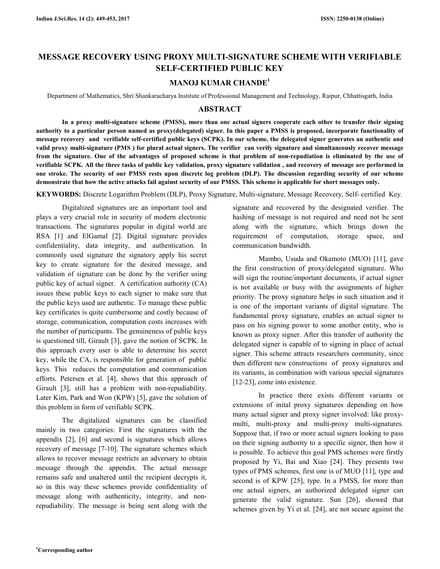# **MESSAGE RECOVERY USING PROXY MULTI-SIGNATURE SCHEME WITH VERIFIABLE SELF-CERTIFIED PUBLIC KEY**

# **MANOJ KUMAR CHANDE<sup>1</sup>**

Department of Mathematics, Shri Shankaracharya Institute of Professional Management and Technology, Raipur, Chhattisgarh, India

# **ABSTRACT**

 **In a proxy multi-signature scheme (PMSS), more than one actual signers cooperate each other to transfer their signing authority to a particular person named as proxy(delegated) signer. In this paper a PMSS is proposed, incorporate functionality of message recovery and verifiable self-certified public keys (SCPK). In our scheme, the delegated signer generates an authentic and valid proxy multi-signature (PMS ) for plural actual signers. The verifier can verify signature and simultaneously recover message from the signature. One of the advantages of proposed scheme is that problem of non-repudiation is eliminated by the use of verifiable SCPK. All the three tasks of public key validation, proxy signature validation , and recovery of message are performed in one stroke. The security of our PMSS rests upon discrete log problem (DLP). The discussion regarding security of our scheme demonstrate that how the active attacks fail against security of our PMSS. This scheme is applicable for short messages only.** 

**KEYWORDS:** Discrete Logarithm Problem (DLP), Proxy Signature, Multi-signature, Message Recovery, Self- certified Key.

 Digitalized signatures are an important tool and plays a very crucial role in security of modern electronic transactions. The signatures popular in digital world are RSA [1] and ElGamal [2]. Digital signature provides confidentiality, data integrity, and authentication. In commonly used signature the signatory apply his secret key to create signature for the desired message, and validation of signature can be done by the verifier using public key of actual signer. A certification authority (CA) issues these public keys to each signer to make sure that the public keys used are authentic. To manage these public key certificates is quite cumbersome and costly because of storage, communication, computation costs increases with the number of participants. The genuineness of public keys is questioned till, Girault [3], gave the notion of SCPK. In this approach every user is able to determine his secret key, while the CA, is responsible for generation of public keys. This reduces the computation and communication efforts. Petersen et al. [4], shows that this approach of Girault [3], still has a problem with non-repudiability. Later Kim, Park and Won (KPW) [5], gave the solution of this problem in form of verifiable SCPK.

 The digitalized signatures can be classified mainly in two categories: First the signatures with the appendix [2], [6] and second is signatures which allows recovery of message [7-10]. The signature schemes which allows to recover message restricts an adversary to obtain message through the appendix. The actual message remains safe and unaltered until the recipient decrypts it, so in this way these schemes provide confidentiality of message along with authenticity, integrity, and nonrepudiability. The message is being sent along with the

signature and recovered by the designated verifier. The hashing of message is not required and need not be sent along with the signature, which brings down the requirement of computation, storage space, and communication bandwidth.

 Mambo, Usuda and Okamoto (MUO) [11], gave the first construction of proxy/delegated signature. Who will sign the routine/important documents, if actual signer is not available or busy with the assignments of higher priority. The proxy signature helps in such situation and it is one of the important variants of digital signature. The fundamental proxy signature, enables an actual signer to pass on his signing power to some another entity, who is known as proxy signer. After this transfer of authority the delegated signer is capable of to signing in place of actual signer. This scheme attracts researchers community, since then different new constructions of proxy signatures and its variants, in combination with various special signatures [12-23], come into existence.

 In practice there exists different variants or extensions of inital proxy signatures depending on how many actual signer and proxy signer involved: like proxymulti, multi-proxy and multi-proxy multi-signatures. Suppose that, if two or more actual signers looking to pass on their signing authority to a specific signer, then how it is possible. To achieve this goal PMS schemes were firstly proposed by Yi, Bai and Xiao [24]. They presents two types of PMS schemes, first one is of MUO [11], type and second is of KPW [25], type. In a PMSS, for more than one actual signers, an authorized delegated signer can generate the valid signature. Sun [26], showed that schemes given by Yi et al. [24], are not secure against the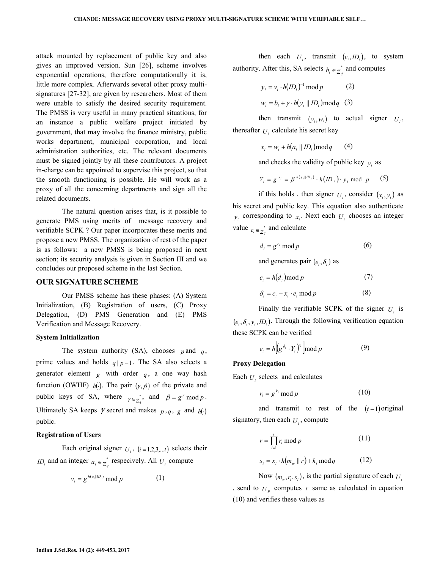attack mounted by replacement of public key and also gives an improved version. Sun [26], scheme involves exponential operations, therefore computationally it is, little more complex. Afterwards several other proxy multisignatures [27-32], are given by researchers. Most of them were unable to satisfy the desired security requirement. The PMSS is very useful in many practical situations, for an instance a public welfare project initiated by government, that may involve the finance ministry, public works department, municipal corporation, and local administration authorities, etc. The relevant documents must be signed jointly by all these contributors. A project in-charge can be appointed to supervise this project, so that the smooth functioning is possible. He will work as a proxy of all the concerning departments and sign all the related documents.

 The natural question arises that, is it possible to generate PMS using merits of message recovery and verifiable SCPK ? Our paper incorporates these merits and propose a new PMSS. The organization of rest of the paper is as follows: a new PMSS is being proposed in next section; its security analysis is given in Section III and we concludes our proposed scheme in the last Section.

## **OUR SIGNATURE SCHEME**

 Our PMSS scheme has these phases: (A) System Initialization, (B) Registration of users, (C) Proxy Delegation, (D) PMS Generation and (E) PMS Verification and Message Recovery.

#### **System Initialization**

The system authority (SA), chooses  $p$  and  $q$ , prime values and holds  $q \mid p-1$ . The SA also selects a generator element  $g$  with order  $q$ , a one way hash function (OWHF)  $h(.)$ . The pair  $(\gamma, \beta)$  of the private and public keys of SA, where  $\gamma \in \mathbb{Z}_q^*$ , and  $\beta = g^{\gamma} \mod p$ . Ultimately SA keeps  $\gamma$  secret and makes  $p, q, g$  and  $h(·)$ public.

### **Registration of Users**

Each original signer  $U_i$ ,  $(i=1,2,3...t)$  selects their *ID<sub>i</sub>* and an integer  $a_i \in \mathbb{Z}_q^*$  respecively. All  $U_i$  compute

$$
v_i = g^{h(a_i||D_i)} \bmod p \tag{1}
$$

then each  $U_i$ , transmit  $(v_i, ID_i)$ , to system authority. After this, SA selects  $b_i \in Z_q^*$  and computes

$$
y_i = v_i \cdot h(ID_i)^{-1} \mod p \tag{2}
$$
  

$$
w_i = b_i + \gamma \cdot h(y_i || ID_i) \mod q \tag{3}
$$

then transmit  $(v_i, w_i)$  to actual signer  $U_i$ , thereafter  $U_i$  calculate his secret key

$$
x_i = w_i + h(a_i \parallel ID_i) \mod q \qquad (4)
$$

and checks the validity of public key  $y_i$  as

$$
Y_i = g^{x_i} = \beta^{h(y_i||D_i)} \cdot h(D_i) \cdot y_i \text{ mod } p \qquad (5)
$$

if this holds, then signer  $U_i$ , consider  $(x_i, y_i)$  as

his secret and public key. This equation also authenticate  $y_i$  corresponding to  $x_i$ . Next each  $U_i$  chooses an integer value  $c_i \in \mathbb{Z}_q^*$  and calculate

$$
d_i = g^{c_i} \bmod p \tag{6}
$$

and generates pair  $(e_i, \delta_i)$  as

$$
e_i = h(d_i) \operatorname{mod} p \tag{7}
$$

$$
\delta_i = c_i - x_i \cdot e_i \mod p \tag{8}
$$

Finally the verifiable SCPK of the signer  $U_i$  is  $(e_i, \delta_i, y_i, ID_i)$ . Through the following verification equation these SCPK can be verified

$$
e_i = h \Big[ (g^{\delta_i} \cdot Y_i)^{e_i} \Big] \bmod p \tag{9}
$$

### **Proxy Delegation**

Each  $U_i$  selects and calculates

$$
r_i = g^{k_i} \bmod p \tag{10}
$$

and transmit to rest of the  $(t-1)$  original signatory, then each  $U_i$ , compute

$$
r = \prod_{i=1}^{t} r_i \bmod p
$$
 (11)  

$$
s_i = x_i \cdot h(m_w || r) + k_i \bmod q
$$
 (12)

Now  $(m_w, r_i, s_i)$ , is the partial signature of each  $U_i$ , send to  $U_p$  computes  $r$  same as calculated in equation (10) and verifies these values as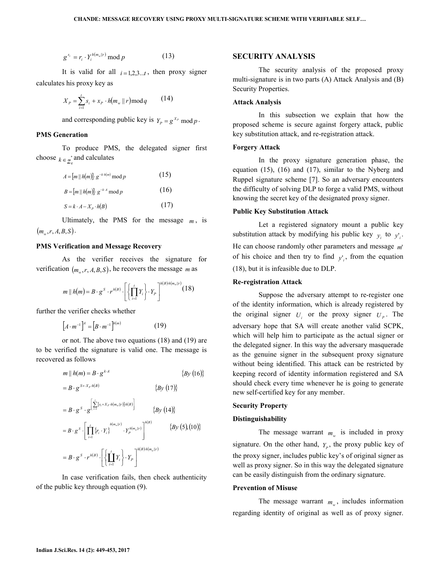$$
g^{s_i} = r_i \cdot Y_i^{h(m_w||r)} \bmod p \tag{13}
$$

It is valid for all  $i=1,2,3...t$ , then proxy signer calculates his proxy key as

$$
X_{P} = \sum_{i=1}^{t} s_{i} + x_{P} \cdot h(m_{w} || r) \bmod q \qquad (14)
$$

and corresponding public key is  $Y_p = g^{X_p} \mod p$ .

# **PMS Generation**

 To produce PMS, the delegated signer first choose  $k \in \mathbb{Z}_q^*$  and calculates

$$
A = [m \mid h(m)] \cdot g^{-k \cdot h(m)} \mod p \tag{15}
$$
  

$$
B = [m \mid h(m)] \cdot g^{-k \cdot A} \mod p \tag{16}
$$
  

$$
S = k \cdot A - X_p \cdot h(B) \tag{17}
$$

Ultimately, the PMS for the message  $m$ , is  $(m_w, r, A, B, S)$ .

### **PMS Verification and Message Recovery**

 As the verifier receives the signature for verification  $(m_w, r, A, B, S)$ , he recovers the message *m* as

$$
m \parallel h(m) = B \cdot g^{S} \cdot r^{h(B)} \cdot \left[ \left\{ \prod_{i=1}^{t} Y_i \right\} \cdot Y_p \right]^{h(B)h(m_w||r)} (18)
$$

further the verifier checks whether

$$
\left[A \cdot m^{-1}\right]^A = \left[B \cdot m^{-1}\right]^{h(m)}\tag{19}
$$

 or not. The above two equations (18) and (19) are to be verified the signature is valid one. The message is recovered as follows

$$
m \parallel h(m) = B \cdot g^{k \cdot A} \qquad \{By (16)\}
$$
  
\n
$$
= B \cdot g^{S+X_P \cdot h(B)} \qquad \{By (17)\}
$$
  
\n
$$
= B \cdot g^S \cdot g^{\left[\sum_{i=1}^{L} [s_i + X_P \cdot h(m_w || r)] h(B)\right]} \qquad \{By (14)\}
$$
  
\n
$$
= B \cdot g^S \cdot \left[\prod_{i=1}^{L} \{r_i \cdot Y_i\}^{h(m_w || r)} \cdot Y_P^{h(m_w || r)}\right]^{h(B)} \qquad \{By (5), (10)\}
$$
  
\n
$$
= B \cdot g^S \cdot r^{h(B)} \cdot \left[\left{\prod_{i=1}^{L} Y_i\right} \cdot Y_P\right]^{h(B)h(m_w || r)}
$$

 In case verification fails, then check authenticity of the public key through equation (9).

## **SECURITY ANALYSIS**

 The security analysis of the proposed proxy multi-signature is in two parts (A) Attack Analysis and (B) Security Properties.

### **Attack Analysis**

 In this subsection we explain that how the proposed scheme is secure against forgery attack, public key substitution attack, and re-registration attack.

### **Forgery Attack**

 In the proxy signature generation phase, the equation (15), (16) and (17), similar to the Nyberg and Ruppel signature scheme [7]. So an adversary encounters the difficulty of solving DLP to forge a valid PMS, without knowing the secret key of the designated proxy signer.

#### **Public Key Substitution Attack**

 Let a registered signatory mount a public key substitution attack by modifying his public key  $y_i$  to  $y'_i$ . He can choose randomly other parameters and message *m*' of his choice and then try to find  $y_i$ , from the equation (18), but it is infeasible due to DLP.

#### **Re-registration Attack**

 Suppose the adversary attempt to re-register one of the identity information, which is already registered by the original signer  $U_i$  or the proxy signer  $U_p$ . The adversary hope that SA will create another valid SCPK, which will help him to participate as the actual signer or the delegated signer. In this way the adversary masquerade as the genuine signer in the subsequent proxy signature without being identified. This attack can be restricted by keeping record of identity information registered and SA should check every time whenever he is going to generate new self-certified key for any member.

#### **Security Property**

### **Distinguishability**

The message warrant  $m_w$  is included in proxy signature. On the other hand,  $Y_p$ , the proxy public key of the proxy signer, includes public key's of original signer as well as proxy signer. So in this way the delegated signature can be easily distinguish from the ordinary signature.

### **Prevention of Misuse**

The message warrant  $m_w$ , includes information regarding identity of original as well as of proxy signer.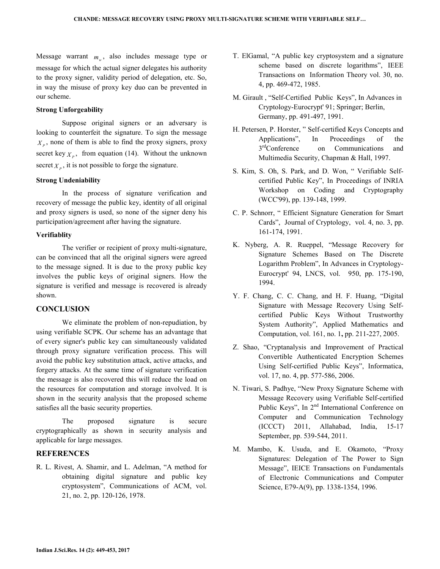Message warrant  $m_w$ , also includes message type or message for which the actual signer delegates his authority to the proxy signer, validity period of delegation, etc. So, in way the misuse of proxy key duo can be prevented in our scheme.

# **Strong Unforgeability**

 Suppose original signers or an adversary is looking to counterfeit the signature. To sign the message  $X<sub>p</sub>$ , none of them is able to find the proxy signers, proxy secret key  $X_p$ , from equation (14). Without the unknown secret  $X_p$ , it is not possible to forge the signature.

# **Strong Undeniability**

 In the process of signature verification and recovery of message the public key, identity of all original and proxy signers is used, so none of the signer deny his participation/agreement after having the signature.

# **Verifiablity**

 The verifier or recipient of proxy multi-signature, can be convinced that all the original signers were agreed to the message signed. It is due to the proxy public key involves the public keys of original signers. How the signature is verified and message is recovered is already shown.

# **CONCLUSION**

 We eliminate the problem of non-repudiation, by using verifiable SCPK. Our scheme has an advantage that of every signer's public key can simultaneously validated through proxy signature verification process. This will avoid the public key substitution attack, active attacks, and forgery attacks. At the same time of signature verification the message is also recovered this will reduce the load on the resources for computation and storage involved. It is shown in the security analysis that the proposed scheme satisfies all the basic security properties.

 The proposed signature is secure cryptographically as shown in security analysis and applicable for large messages.

# **REFERENCES**

R. L. Rivest, A. Shamir, and L. Adelman, "A method for obtaining digital signature and public key cryptosystem", Communications of ACM, vol. 21, no. 2, pp. 120-126, 1978.

- T. ElGamal, "A public key cryptosystem and a signature scheme based on discrete logarithms", IEEE Transactions on Information Theory vol. 30, no. 4, pp. 469-472, 1985.
- M. Girault , "Self-Certified Public Keys", In Advances in Cryptology-Eurocrypt' 91; Springer; Berlin, Germany, pp. 491-497, 1991.
- H. Petersen, P. Horster, " Self-certified Keys Concepts and Applications", In Proceedings of the  $3<sup>rd</sup>$ Conference on Communications and Multimedia Security, Chapman & Hall, 1997.
- S. Kim, S. Oh, S. Park, and D. Won, " Verifiable Selfcertified Public Key", In Proceedings of INRIA Workshop on Coding and Cryptography (WCC'99), pp. 139-148, 1999.
- C. P. Schnorr, " Efficient Signature Generation for Smart Cards", Journal of Cryptology, vol. 4, no. 3, pp. 161-174, 1991.
- K. Nyberg, A. R. Rueppel, "Message Recovery for Signature Schemes Based on The Discrete Logarithm Problem", In Advances in Cryptology-Eurocrypt' 94, LNCS, vol. 950, pp. 175-190, 1994.
- Y. F. Chang, C. C. Chang, and H. F. Huang, "Digital Signature with Message Recovery Using Selfcertified Public Keys Without Trustworthy System Authority", Applied Mathematics and Computation, vol. 161, no. 1**,** pp. 211-227, 2005.
- Z. Shao, "Cryptanalysis and Improvement of Practical Convertible Authenticated Encryption Schemes Using Self-certified Public Keys", Informatica, vol. 17, no. 4, pp. 577-586, 2006.
- N. Tiwari, S. Padhye, "New Proxy Signature Scheme with Message Recovery using Verifiable Self-certified Public Keys", In 2<sup>nd</sup> International Conference on Computer and Communication Technology (ICCCT) 2011, Allahabad, India, 15-17 September, pp. 539-544, 2011.
- M. Mambo, K. Usuda, and E. Okamoto, "Proxy Signatures: Delegation of The Power to Sign Message", IEICE Transactions on Fundamentals of Electronic Communications and Computer Science, E79-A(9), pp. 1338-1354, 1996.